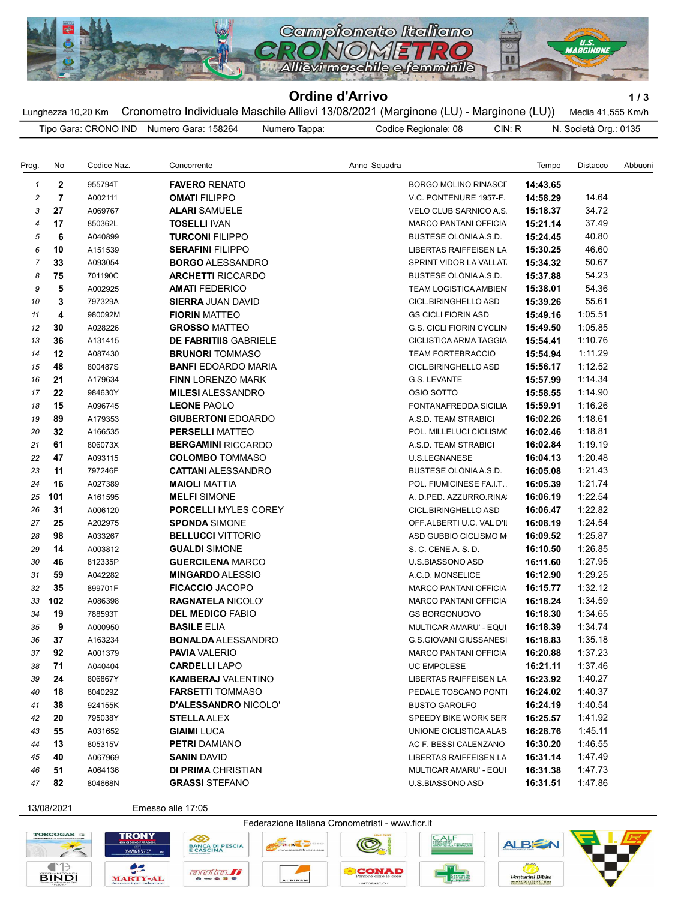

## Ordine d'Arrivo 1/3

Lunghezza 10,20 Km Cronometro Individuale Maschile Allievi 13/08/2021 (Marginone (LU) - Marginone (LU)) Media 41,555 Km/h Tipo Gara: CRONO IND Numero Gara: 158264 Numero Tappa: Codice Regionale: 08 CIN: R N. Società Org.: 0135

| Prog.          | No             | Codice Naz. | Concorrente                  | Anno Squadra                    | Tempo    | Distacco | Abbuoni |
|----------------|----------------|-------------|------------------------------|---------------------------------|----------|----------|---------|
| $\mathbf{1}$   | $\mathbf{2}$   | 955794T     | <b>FAVERO RENATO</b>         | <b>BORGO MOLINO RINASCI</b>     | 14:43.65 |          |         |
| $\overline{c}$ | $\overline{7}$ | A002111     | <b>OMATI FILIPPO</b>         | V.C. PONTENURE 1957-F.          | 14:58.29 | 14.64    |         |
| 3              | 27             | A069767     | <b>ALARI SAMUELE</b>         | VELO CLUB SARNICO A.S.          | 15:18.37 | 34.72    |         |
| 4              | 17             | 850362L     | <b>TOSELLI IVAN</b>          | <b>MARCO PANTANI OFFICIA</b>    | 15:21.14 | 37.49    |         |
| 5              | 6              | A040899     | <b>TURCONI FILIPPO</b>       | BUSTESE OLONIA A.S.D.           | 15:24.45 | 40.80    |         |
| 6              | 10             | A151539     | <b>SERAFINI FILIPPO</b>      | LIBERTAS RAIFFEISEN LA          | 15:30.25 | 46.60    |         |
| $\overline{7}$ | 33             | A093054     | <b>BORGO ALESSANDRO</b>      | SPRINT VIDOR LA VALLAT          | 15:34.32 | 50.67    |         |
| 8              | 75             | 701190C     | <b>ARCHETTI RICCARDO</b>     | BUSTESE OLONIA A.S.D.           | 15:37.88 | 54.23    |         |
| 9              | 5              | A002925     | <b>AMATI FEDERICO</b>        | TEAM LOGISTICA AMBIEN           | 15:38.01 | 54.36    |         |
| 10             | 3              | 797329A     | <b>SIERRA JUAN DAVID</b>     | CICL.BIRINGHELLO ASD            | 15:39.26 | 55.61    |         |
| 11             | 4              | 980092M     | <b>FIORIN MATTEO</b>         | <b>GS CICLI FIORIN ASD</b>      | 15:49.16 | 1:05.51  |         |
| 12             | 30             | A028226     | <b>GROSSO MATTEO</b>         | <b>G.S. CICLI FIORIN CYCLIN</b> | 15:49.50 | 1:05.85  |         |
| 13             | 36             | A131415     | <b>DE FABRITIIS GABRIELE</b> | CICLISTICA ARMA TAGGIA          | 15:54.41 | 1:10.76  |         |
| 14             | 12             | A087430     | <b>BRUNORI</b> TOMMASO       | <b>TEAM FORTEBRACCIO</b>        | 15:54.94 | 1:11.29  |         |
| 15             | 48             | 800487S     | <b>BANFI EDOARDO MARIA</b>   | <b>CICL.BIRINGHELLO ASD</b>     | 15:56.17 | 1:12.52  |         |
| 16             | 21             | A179634     | <b>FINN LORENZO MARK</b>     | G.S. LEVANTE                    | 15:57.99 | 1:14.34  |         |
| 17             | 22             | 984630Y     | <b>MILESI ALESSANDRO</b>     | OSIO SOTTO                      | 15:58.55 | 1:14.90  |         |
| 18             | 15             | A096745     | <b>LEONE PAOLO</b>           | FONTANAFREDDA SICILIA           | 15:59.91 | 1:16.26  |         |
| 19             | 89             | A179353     | <b>GIUBERTONI EDOARDO</b>    | A.S.D. TEAM STRABICI            | 16:02.26 | 1:18.61  |         |
| 20             | 32             | A166535     | <b>PERSELLI MATTEO</b>       | POL. MILLELUCI CICLISMO         | 16:02.46 | 1:18.81  |         |
| 21             | 61             | 806073X     | <b>BERGAMINI RICCARDO</b>    | A.S.D. TEAM STRABICI            | 16:02.84 | 1:19.19  |         |
| 22             | 47             | A093115     | <b>COLOMBO TOMMASO</b>       | U.S.LEGNANESE                   | 16:04.13 | 1:20.48  |         |
| 23             | 11             | 797246F     | <b>CATTANI ALESSANDRO</b>    | <b>BUSTESE OLONIA A.S.D.</b>    | 16:05.08 | 1:21.43  |         |
| 24             | 16             | A027389     | <b>MAIOLI MATTIA</b>         | POL. FIUMICINESE FA.I.T.        | 16:05.39 | 1:21.74  |         |
| 25             | 101            | A161595     | <b>MELFI SIMONE</b>          | A. D.PED. AZZURRO.RINA          | 16:06.19 | 1:22.54  |         |
| 26             | 31             | A006120     | <b>PORCELLI MYLES COREY</b>  | CICL.BIRINGHELLO ASD            | 16:06.47 | 1:22.82  |         |
| 27             | 25             | A202975     | <b>SPONDA SIMONE</b>         | OFF.ALBERTI U.C. VAL D'II       | 16:08.19 | 1:24.54  |         |
| 28             | 98             | A033267     | <b>BELLUCCI VITTORIO</b>     | ASD GUBBIO CICLISMO M           | 16:09.52 | 1:25.87  |         |
| 29             | 14             | A003812     | <b>GUALDI SIMONE</b>         | S. C. CENE A. S. D.             | 16:10.50 | 1:26.85  |         |
| 30             | 46             | 812335P     | <b>GUERCILENA MARCO</b>      | U.S.BIASSONO ASD                | 16:11.60 | 1:27.95  |         |
| 31             | 59             | A042282     | <b>MINGARDO ALESSIO</b>      | A.C.D. MONSELICE                | 16:12.90 | 1:29.25  |         |
| 32             | 35             | 899701F     | <b>FICACCIO JACOPO</b>       | <b>MARCO PANTANI OFFICIA</b>    | 16:15.77 | 1:32.12  |         |
| 33             | 102            | A086398     | <b>RAGNATELA NICOLO'</b>     | <b>MARCO PANTANI OFFICIA</b>    | 16:18.24 | 1:34.59  |         |
| 34             | 19             | 788593T     | <b>DEL MEDICO FABIO</b>      | <b>GS BORGONUOVO</b>            | 16:18.30 | 1:34.65  |         |
| 35             | 9              | A000950     | <b>BASILE ELIA</b>           | MULTICAR AMARU' - EQUI          | 16:18.39 | 1:34.74  |         |
| 36             | 37             | A163234     | <b>BONALDA</b> ALESSANDRO    | <b>G.S.GIOVANI GIUSSANESI</b>   | 16:18.83 | 1:35.18  |         |
| 37             | 92             | A001379     | <b>PAVIA</b> VALERIO         | <b>MARCO PANTANI OFFICIA</b>    | 16:20.88 | 1:37.23  |         |
| 38             | 71             | A040404     | <b>CARDELLI LAPO</b>         | <b>UC EMPOLESE</b>              | 16:21.11 | 1:37.46  |         |
| 39             | 24             | 806867Y     | <b>KAMBERAJ VALENTINO</b>    | LIBERTAS RAIFFEISEN LA          | 16:23.92 | 1:40.27  |         |
| 40             | 18             | 804029Z     | <b>FARSETTI TOMMASO</b>      | PEDALE TOSCANO PONTI            | 16:24.02 | 1:40.37  |         |
| 41             | 38             | 924155K     | <b>D'ALESSANDRO NICOLO'</b>  | <b>BUSTO GAROLFO</b>            | 16:24.19 | 1:40.54  |         |
| 42             | 20             | 795038Y     | <b>STELLA ALEX</b>           | SPEEDY BIKE WORK SER            | 16:25.57 | 1:41.92  |         |
| 43             | 55             | A031652     | <b>GIAIMI</b> LUCA           | UNIONE CICLISTICA ALAS          | 16:28.76 | 1:45.11  |         |
| 44             | 13             | 805315V     | <b>PETRI DAMIANO</b>         | AC F. BESSI CALENZANO           | 16:30.20 | 1:46.55  |         |
| 45             | 40             | A067969     | <b>SANIN DAVID</b>           | LIBERTAS RAIFFEISEN LA          | 16:31.14 | 1:47.49  |         |
| 46             | 51             | A064136     | <b>DI PRIMA CHRISTIAN</b>    | MULTICAR AMARU' - EQUI          | 16:31.38 | 1:47.73  |         |
| 47             | 82             | 804668N     | <b>GRASSI STEFANO</b>        | U.S.BIASSONO ASD                | 16:31.51 | 1:47.86  |         |
|                |                |             |                              |                                 |          |          |         |

13/08/2021 Emesso alle 17:05

 $\bullet$ S













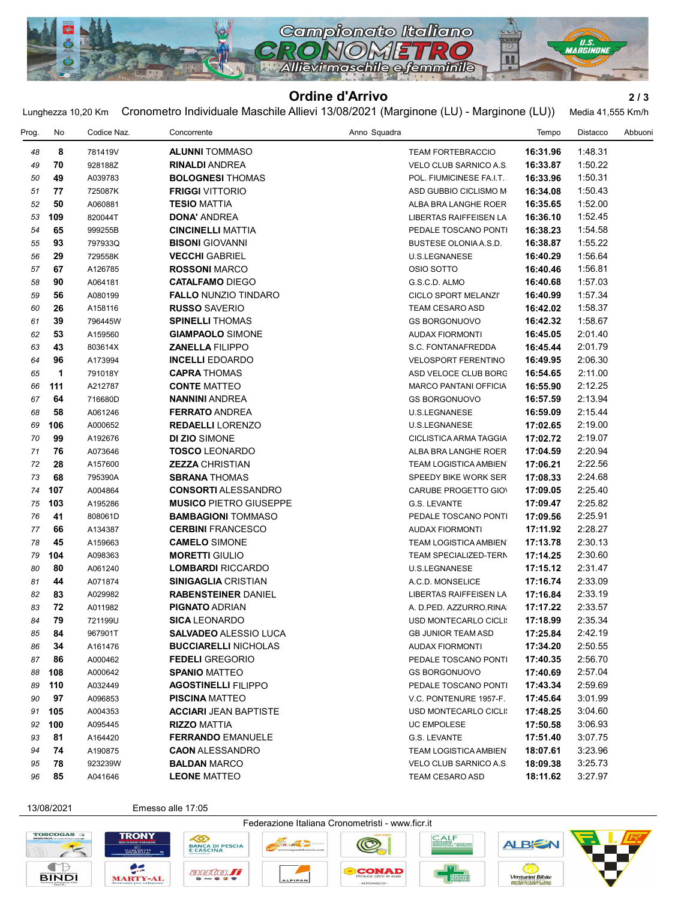

## Ordine d'Arrivo 2/3

Lunghezza 10,20 Km Cronometro Individuale Maschile Allievi 13/08/2021 (Marginone (LU) - Marginone (LU)) Media 41,555 Km/h

| Prog. | No  | Codice Naz. | Concorrente                                        | Anno Squadra                  | Tempo    | Distacco | Abbuoni |
|-------|-----|-------------|----------------------------------------------------|-------------------------------|----------|----------|---------|
| 48    | 8   | 781419V     | <b>ALUNNI TOMMASO</b>                              | <b>TEAM FORTEBRACCIO</b>      | 16:31.96 | 1:48.31  |         |
| 49    | 70  | 928188Z     | <b>RINALDI ANDREA</b>                              | <b>VELO CLUB SARNICO A.S.</b> | 16:33.87 | 1:50.22  |         |
| 50    | 49  | A039783     | <b>BOLOGNESI THOMAS</b>                            | POL. FIUMICINESE FA.I.T.      | 16:33.96 | 1:50.31  |         |
| 51    | 77  | 725087K     | <b>FRIGGI VITTORIO</b>                             | ASD GUBBIO CICLISMO M         | 16:34.08 | 1:50.43  |         |
| 52    | 50  | A060881     | <b>TESIO MATTIA</b>                                | ALBA BRA LANGHE ROER          | 16:35.65 | 1:52.00  |         |
| 53    | 109 | 820044T     | <b>DONA' ANDREA</b>                                | LIBERTAS RAIFFEISEN LA        | 16:36.10 | 1:52.45  |         |
| 54    | 65  | 999255B     | <b>CINCINELLI MATTIA</b>                           | PEDALE TOSCANO PONTI          | 16:38.23 | 1:54.58  |         |
| 55    | 93  | 797933Q     | <b>BISONI</b> GIOVANNI                             | BUSTESE OLONIA A.S.D.         | 16:38.87 | 1:55.22  |         |
| 56    | 29  | 729558K     | <b>VECCHI GABRIEL</b>                              | U.S.LEGNANESE                 | 16:40.29 | 1:56.64  |         |
| 57    | 67  | A126785     | <b>ROSSONI MARCO</b>                               | OSIO SOTTO                    | 16:40.46 | 1:56.81  |         |
| 58    | 90  | A064181     | <b>CATALFAMO DIEGO</b>                             | G.S.C.D. ALMO                 | 16:40.68 | 1:57.03  |         |
| 59    | 56  | A080199     | <b>FALLO NUNZIO TINDARO</b>                        | CICLO SPORT MELANZI'          | 16:40.99 | 1:57.34  |         |
| 60    | 26  | A158116     | <b>RUSSO SAVERIO</b>                               | TEAM CESARO ASD               | 16:42.02 | 1:58.37  |         |
| 61    | 39  | 796445W     | <b>SPINELLI THOMAS</b>                             | <b>GS BORGONUOVO</b>          | 16:42.32 | 1:58.67  |         |
| 62    | 53  | A159560     | <b>GIAMPAOLO SIMONE</b>                            | <b>AUDAX FIORMONTI</b>        | 16:45.05 | 2:01.40  |         |
| 63    | 43  | 803614X     | <b>ZANELLA FILIPPO</b>                             | S.C. FONTANAFREDDA            | 16:45.44 | 2:01.79  |         |
| 64    | 96  | A173994     | <b>INCELLI</b> EDOARDO                             | <b>VELOSPORT FERENTINO</b>    | 16:49.95 | 2:06.30  |         |
| 65    | 1   | 791018Y     | <b>CAPRA THOMAS</b>                                | ASD VELOCE CLUB BORG          | 16:54.65 | 2:11.00  |         |
| 66    | 111 | A212787     | <b>CONTE MATTEO</b>                                | <b>MARCO PANTANI OFFICIA</b>  | 16:55.90 | 2:12.25  |         |
| 67    | 64  | 716680D     | <b>NANNINI ANDREA</b>                              | <b>GS BORGONUOVO</b>          | 16:57.59 | 2:13.94  |         |
| 68    | 58  | A061246     | <b>FERRATO ANDREA</b>                              | U.S.LEGNANESE                 | 16:59.09 | 2:15.44  |         |
| 69    | 106 | A000652     | <b>REDAELLI</b> LORENZO                            | U.S.LEGNANESE                 | 17:02.65 | 2:19.00  |         |
| 70    | 99  | A192676     | <b>DI ZIO SIMONE</b>                               | CICLISTICA ARMA TAGGIA        | 17:02.72 | 2:19.07  |         |
| 71    | 76  | A073646     | <b>TOSCO LEONARDO</b>                              | ALBA BRA LANGHE ROER          | 17:04.59 | 2:20.94  |         |
| 72    | 28  | A157600     | <b>ZEZZA CHRISTIAN</b>                             | TEAM LOGISTICA AMBIEN         | 17:06.21 | 2:22.56  |         |
| 73    | 68  | 795390A     | <b>SBRANA THOMAS</b>                               | SPEEDY BIKE WORK SER          | 17:08.33 | 2:24.68  |         |
| 74    | 107 | A004864     | <b>CONSORTI ALESSANDRO</b>                         | CARUBE PROGETTO GIOV          | 17:09.05 | 2:25.40  |         |
| 75    | 103 | A195286     | <b>MUSICO PIETRO GIUSEPPE</b>                      | G.S. LEVANTE                  | 17:09.47 | 2:25.82  |         |
| 76    | 41  | 808061D     | <b>BAMBAGIONI TOMMASO</b>                          | PEDALE TOSCANO PONTI          | 17:09.56 | 2:25.91  |         |
| 77    | 66  | A134387     | <b>CERBINI FRANCESCO</b>                           | <b>AUDAX FIORMONTI</b>        | 17:11.92 | 2:28.27  |         |
| 78    | 45  | A159663     | <b>CAMELO SIMONE</b>                               | TEAM LOGISTICA AMBIEN         | 17:13.78 | 2:30.13  |         |
| 79    | 104 | A098363     | <b>MORETTI GIULIO</b>                              | TEAM SPECIALIZED-TERN         | 17:14.25 | 2:30.60  |         |
| 80    | 80  | A061240     | <b>LOMBARDI RICCARDO</b>                           | U.S.LEGNANESE                 | 17:15.12 | 2:31.47  |         |
| 81    | 44  | A071874     | <b>SINIGAGLIA CRISTIAN</b>                         | A.C.D. MONSELICE              | 17:16.74 | 2:33.09  |         |
| 82    | 83  | A029982     | <b>RABENSTEINER DANIEL</b>                         | LIBERTAS RAIFFEISEN LA        | 17:16.84 | 2:33.19  |         |
| 83    | 72  | A011982     | <b>PIGNATO ADRIAN</b>                              | A. D.PED. AZZURRO.RINA        | 17:17.22 | 2:33.57  |         |
| 84    | 79  | 721199U     | <b>SICA LEONARDO</b>                               | USD MONTECARLO CICLI:         | 17:18.99 | 2:35.34  |         |
| 85    | 84  | 967901T     | SALVADEO ALESSIO LUCA                              | <b>GB JUNIOR TEAM ASD</b>     | 17:25.84 | 2:42.19  |         |
|       |     | A161476     | <b>BUCCIARELLI NICHOLAS</b>                        | <b>AUDAX FIORMONTI</b>        |          | 2:50.55  |         |
| 86    | 34  |             |                                                    |                               | 17:34.20 | 2:56.70  |         |
| 87    | 86  | A000462     | <b>FEDELI GREGORIO</b>                             | PEDALE TOSCANO PONTI          | 17:40.35 | 2:57.04  |         |
| 88    | 108 | A000642     | <b>SPANIO MATTEO</b><br><b>AGOSTINELLI FILIPPO</b> | <b>GS BORGONUOVO</b>          | 17:40.69 | 2:59.69  |         |
| 89    | 110 | A032449     |                                                    | PEDALE TOSCANO PONTI          | 17:43.34 |          |         |
| 90    | 97  | A096853     | <b>PISCINA MATTEO</b>                              | V.C. PONTENURE 1957-F.        | 17:45.64 | 3:01.99  |         |
| 91    | 105 | A004353     | <b>ACCIARI JEAN BAPTISTE</b>                       | USD MONTECARLO CICLI:         | 17:48.25 | 3:04.60  |         |
| 92    | 100 | A095445     | <b>RIZZO MATTIA</b>                                | <b>UC EMPOLESE</b>            | 17:50.58 | 3:06.93  |         |
| 93    | 81  | A164420     | <b>FERRANDO EMANUELE</b>                           | G.S. LEVANTE                  | 17:51.40 | 3:07.75  |         |
| 94    | 74  | A190875     | <b>CAON ALESSANDRO</b>                             | TEAM LOGISTICA AMBIEN         | 18:07.61 | 3:23.96  |         |
| 95    | 78  | 923239W     | <b>BALDAN MARCO</b>                                | VELO CLUB SARNICO A.S.        | 18:09.38 | 3:25.73  |         |
| 96    | 85  | A041646     | <b>LEONE MATTEO</b>                                | TEAM CESARO ASD               | 18:11.62 | 3:27.97  |         |

13/08/2021 Emesso alle 17:05

への

**TRONY** 

 $e$ 

**MARTY-AL**